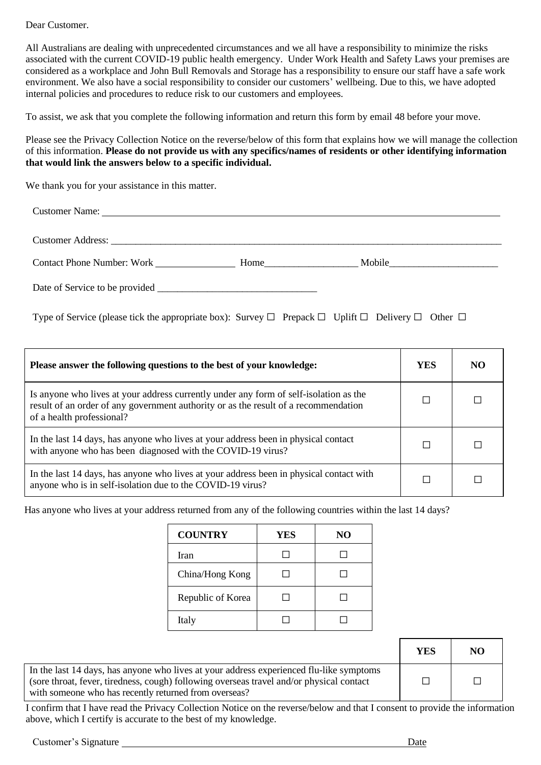Dear Customer.

All Australians are dealing with unprecedented circumstances and we all have a responsibility to minimize the risks associated with the current COVID-19 public health emergency. Under Work Health and Safety Laws your premises are considered as a workplace and John Bull Removals and Storage has a responsibility to ensure our staff have a safe work environment. We also have a social responsibility to consider our customers' wellbeing. Due to this, we have adopted internal policies and procedures to reduce risk to our customers and employees.

To assist, we ask that you complete the following information and return this form by email 48 before your move.

Please see the Privacy Collection Notice on the reverse/below of this form that explains how we will manage the collection of this information. **Please do not provide us with any specifics/names of residents or other identifying information that would link the answers below to a specific individual.** 

We thank you for your assistance in this matter.

| <b>Customer Address:</b> <u>Customer Address</u> : <u>Customer Address:</u> Customer Address: <b>Customer Address:</b> Customer Address: <b>Customer Address:</b> Customer Address: <b>Customer Address:</b> Customer Address: <b>Customer Address:</b> Customer A |                                                                                                                                                                                                                                |  |
|--------------------------------------------------------------------------------------------------------------------------------------------------------------------------------------------------------------------------------------------------------------------|--------------------------------------------------------------------------------------------------------------------------------------------------------------------------------------------------------------------------------|--|
| <b>Contact Phone Number: Work</b>                                                                                                                                                                                                                                  | Home in the same state of the state of the state of the state of the state of the state of the state of the state of the state of the state of the state of the state of the state of the state of the state of the state of t |  |
| Date of Service to be provided                                                                                                                                                                                                                                     |                                                                                                                                                                                                                                |  |

Type of Service (please tick the appropriate box): Survey  $\Box$  Prepack  $\Box$  Uplift  $\Box$  Delivery  $\Box$  Other  $\Box$ 

| Please answer the following questions to the best of your knowledge:                                                                                                                                      |  | NO. |
|-----------------------------------------------------------------------------------------------------------------------------------------------------------------------------------------------------------|--|-----|
| Is anyone who lives at your address currently under any form of self-isolation as the<br>result of an order of any government authority or as the result of a recommendation<br>of a health professional? |  |     |
| In the last 14 days, has anyone who lives at your address been in physical contact<br>with anyone who has been diagnosed with the COVID-19 virus?                                                         |  |     |
| In the last 14 days, has anyone who lives at your address been in physical contact with<br>anyone who is in self-isolation due to the COVID-19 virus?                                                     |  |     |

Has anyone who lives at your address returned from any of the following countries within the last 14 days?

| <b>COUNTRY</b>    | YES | N <sub>O</sub> |
|-------------------|-----|----------------|
| Iran              |     |                |
| China/Hong Kong   |     |                |
| Republic of Korea |     |                |
| Italy             |     |                |

|                                                                                                                                                                                                                                              | YES | NO |
|----------------------------------------------------------------------------------------------------------------------------------------------------------------------------------------------------------------------------------------------|-----|----|
| In the last 14 days, has anyone who lives at your address experienced flu-like symptoms<br>(sore throat, fever, tiredness, cough) following overseas travel and/or physical contact<br>with someone who has recently returned from overseas? |     |    |

I confirm that I have read the Privacy Collection Notice on the reverse/below and that I consent to provide the information above, which I certify is accurate to the best of my knowledge.

Customer's Signature Date